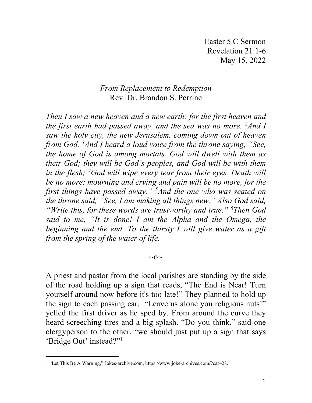Easter 5 C Sermon Revelation 21:1-6 May 15, 2022

## *From Replacement to Redemption* Rev. Dr. Brandon S. Perrine

*Then I saw a new heaven and a new earth; for the first heaven and the first earth had passed away, and the sea was no more. 2 And I saw the holy city, the new Jerusalem, coming down out of heaven from God. 3 And I heard a loud voice from the throne saying, "See, the home of God is among mortals. God will dwell with them as their God; they will be God's peoples, and God will be with them in the flesh; <sup>4</sup> God will wipe every tear from their eyes. Death will be no more; mourning and crying and pain will be no more, for the first things have passed away." 5 And the one who was seated on the throne said, "See, I am making all things new." Also God said, "Write this, for these words are trustworthy and true." 6 Then God said to me, "It is done! I am the Alpha and the Omega, the beginning and the end. To the thirsty I will give water as a gift from the spring of the water of life.*

A priest and pastor from the local parishes are standing by the side of the road holding up a sign that reads, "The End is Near! Turn yourself around now before it's too late!" They planned to hold up the sign to each passing car. "Leave us alone you religious nuts!" yelled the first driver as he sped by. From around the curve they heard screeching tires and a big splash. "Do you think," said one clergyperson to the other, "we should just put up a sign that says 'Bridge Out' instead?"[1](#page-0-0)

 $\sim$ o $\sim$ 

<span id="page-0-0"></span><sup>1</sup> "Let This Be A Warning," Jokes-archive.com, https://www.joke-archives.com/?cat=28.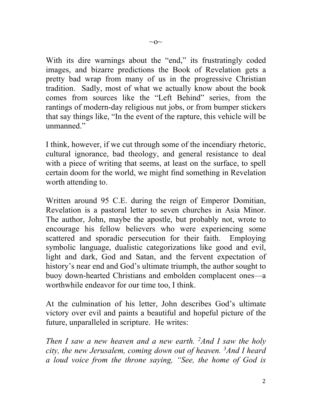With its dire warnings about the "end," its frustratingly coded images, and bizarre predictions the Book of Revelation gets a pretty bad wrap from many of us in the progressive Christian tradition. Sadly, most of what we actually know about the book comes from sources like the "Left Behind" series, from the rantings of modern-day religious nut jobs, or from bumper stickers that say things like, "In the event of the rapture, this vehicle will be unmanned."

I think, however, if we cut through some of the incendiary rhetoric, cultural ignorance, bad theology, and general resistance to deal with a piece of writing that seems, at least on the surface, to spell certain doom for the world, we might find something in Revelation worth attending to.

Written around 95 C.E. during the reign of Emperor Domitian, Revelation is a pastoral letter to seven churches in Asia Minor. The author, John, maybe the apostle, but probably not, wrote to encourage his fellow believers who were experiencing some scattered and sporadic persecution for their faith. Employing symbolic language, dualistic categorizations like good and evil, light and dark, God and Satan, and the fervent expectation of history's near end and God's ultimate triumph, the author sought to buoy down-hearted Christians and embolden complacent ones—a worthwhile endeavor for our time too, I think.

At the culmination of his letter, John describes God's ultimate victory over evil and paints a beautiful and hopeful picture of the future, unparalleled in scripture. He writes:

*Then I saw a new heaven and a new earth. 2 And I saw the holy city, the new Jerusalem, coming down out of heaven. 3 And I heard a loud voice from the throne saying, "See, the home of God is*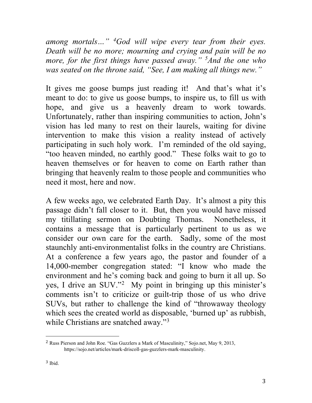*among mortals…" <sup>4</sup> God will wipe every tear from their eyes. Death will be no more; mourning and crying and pain will be no more, for the first things have passed away." 5 And the one who was seated on the throne said, "See, I am making all things new."*

It gives me goose bumps just reading it! And that's what it's meant to do: to give us goose bumps, to inspire us, to fill us with hope, and give us a heavenly dream to work towards. Unfortunately, rather than inspiring communities to action, John's vision has led many to rest on their laurels, waiting for divine intervention to make this vision a reality instead of actively participating in such holy work. I'm reminded of the old saying, "too heaven minded, no earthly good." These folks wait to go to heaven themselves or for heaven to come on Earth rather than bringing that heavenly realm to those people and communities who need it most, here and now.

A few weeks ago, we celebrated Earth Day. It's almost a pity this passage didn't fall closer to it. But, then you would have missed my titillating sermon on Doubting Thomas. Nonetheless, it contains a message that is particularly pertinent to us as we consider our own care for the earth. Sadly, some of the most staunchly anti-environmentalist folks in the country are Christians. At a conference a few years ago, the pastor and founder of a 14,000-member congregation stated: "I know who made the environment and he's coming back and going to burn it all up. So yes, I drive an SUV."<sup>[2](#page-2-0)</sup> My point in bringing up this minister's comments isn't to criticize or guilt-trip those of us who drive SUVs, but rather to challenge the kind of "throwaway theology which sees the created world as disposable, 'burned up' as rubbish, while Christians are snatched away."<sup>[3](#page-2-1)</sup>

<span id="page-2-1"></span><span id="page-2-0"></span><sup>2</sup> Russ Pierson and John Roe. "Gas Guzzlers a Mark of Masculinity," Sojo.net, May 9, 2013, https://sojo.net/articles/mark-driscoll-gas-guzzlers-mark-masculinity.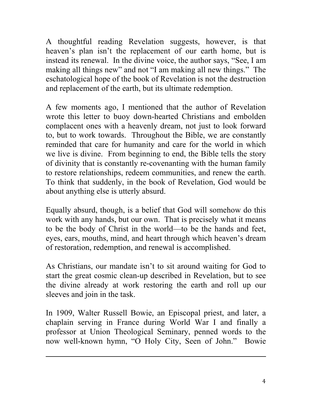A thoughtful reading Revelation suggests, however, is that heaven's plan isn't the replacement of our earth home, but is instead its renewal. In the divine voice, the author says, "See, I am making all things new" and not "I am making all new things." The eschatological hope of the book of Revelation is not the destruction and replacement of the earth, but its ultimate redemption.

A few moments ago, I mentioned that the author of Revelation wrote this letter to buoy down-hearted Christians and embolden complacent ones with a heavenly dream, not just to look forward to, but to work towards. Throughout the Bible, we are constantly reminded that care for humanity and care for the world in which we live is divine. From beginning to end, the Bible tells the story of divinity that is constantly re-covenanting with the human family to restore relationships, redeem communities, and renew the earth. To think that suddenly, in the book of Revelation, God would be about anything else is utterly absurd.

Equally absurd, though, is a belief that God will somehow do this work with any hands, but our own. That is precisely what it means to be the body of Christ in the world—to be the hands and feet, eyes, ears, mouths, mind, and heart through which heaven's dream of restoration, redemption, and renewal is accomplished.

As Christians, our mandate isn't to sit around waiting for God to start the great cosmic clean-up described in Revelation, but to see the divine already at work restoring the earth and roll up our sleeves and join in the task.

In 1909, Walter Russell Bowie, an Episcopal priest, and later, a chaplain serving in France during World War I and finally a professor at Union Theological Seminary, penned words to the now well-known hymn, "O Holy City, Seen of John." Bowie